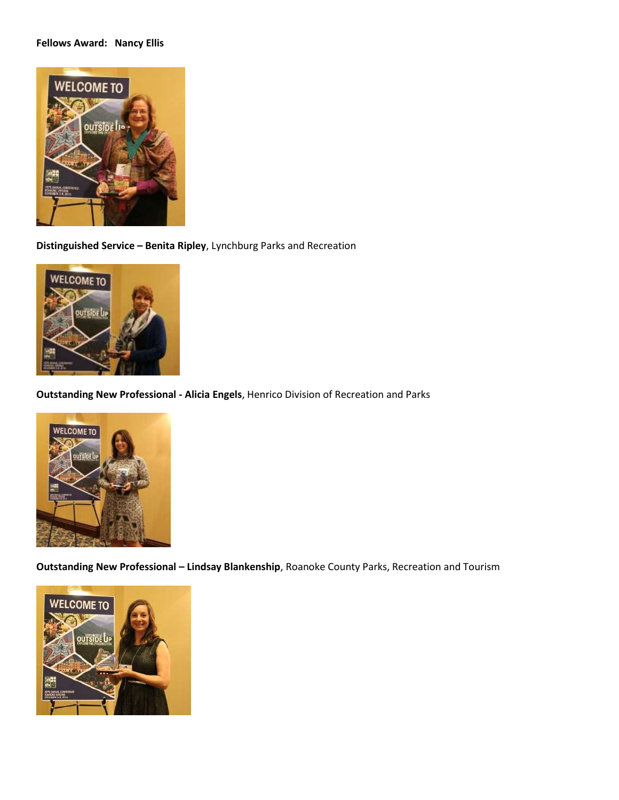## **Fellows Award: Nancy Ellis**



**Distinguished Service – Benita Ripley**, Lynchburg Parks and Recreation



**Outstanding New Professional - Alicia Engels**, Henrico Division of Recreation and Parks



**Outstanding New Professional – Lindsay Blankenship**, Roanoke County Parks, Recreation and Tourism

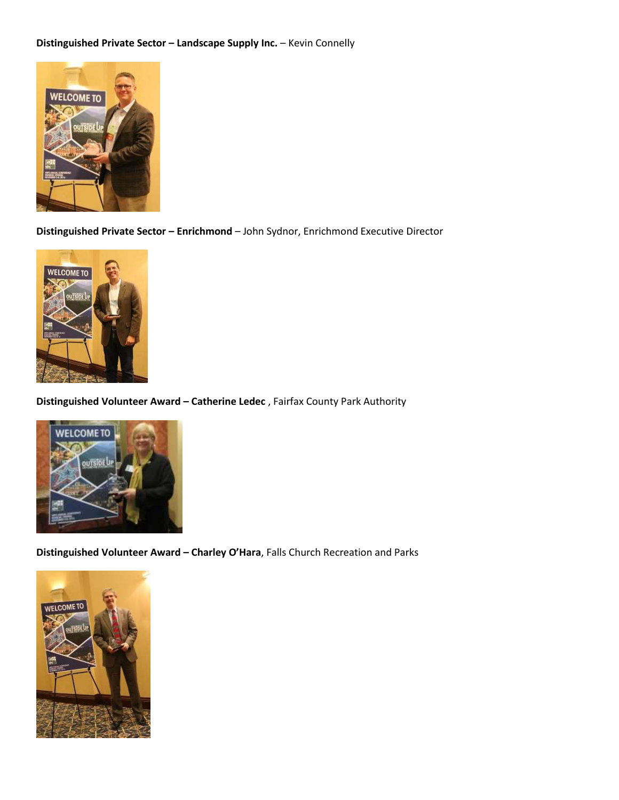## **Distinguished Private Sector – Landscape Supply Inc.** – Kevin Connelly



**Distinguished Private Sector – Enrichmond** – John Sydnor, Enrichmond Executive Director



**Distinguished Volunteer Award – Catherine Ledec** , Fairfax County Park Authority



**Distinguished Volunteer Award – Charley O'Hara**, Falls Church Recreation and Parks

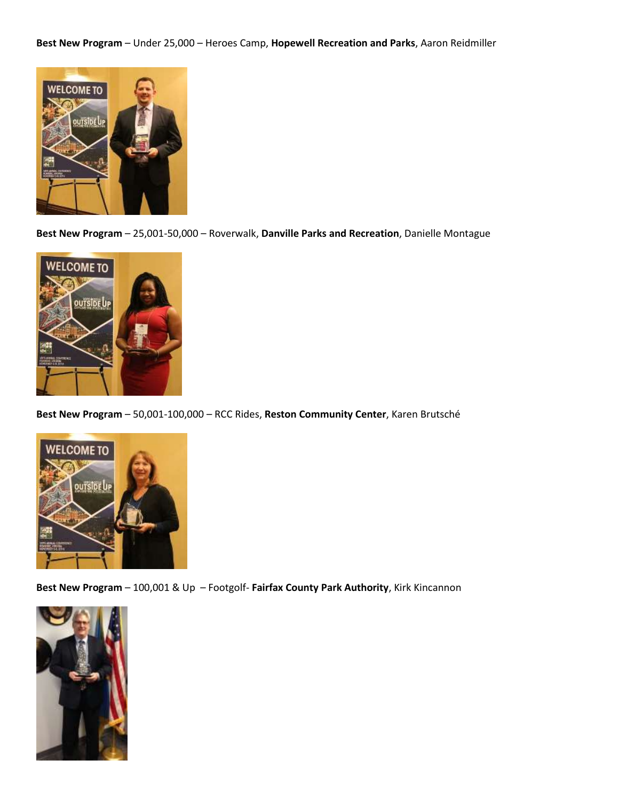**Best New Program** – Under 25,000 – Heroes Camp, **Hopewell Recreation and Parks**, Aaron Reidmiller



**Best New Program** – 25,001-50,000 – Roverwalk, **Danville Parks and Recreation**, Danielle Montague



**Best New Program** – 50,001-100,000 – RCC Rides, **Reston Community Center**, Karen Brutsché



**Best New Program** – 100,001 & Up – Footgolf- **Fairfax County Park Authority**, Kirk Kincannon

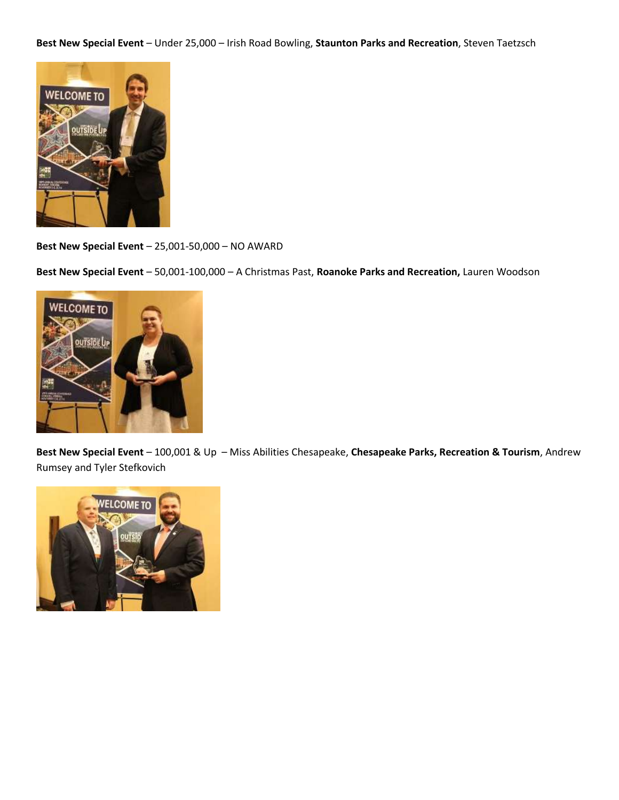**Best New Special Event** – Under 25,000 – Irish Road Bowling, **Staunton Parks and Recreation**, Steven Taetzsch



**Best New Special Event** – 25,001-50,000 – NO AWARD

**Best New Special Event** – 50,001-100,000 – A Christmas Past, **Roanoke Parks and Recreation,** Lauren Woodson



**Best New Special Event** – 100,001 & Up – Miss Abilities Chesapeake, **Chesapeake Parks, Recreation & Tourism**, Andrew Rumsey and Tyler Stefkovich

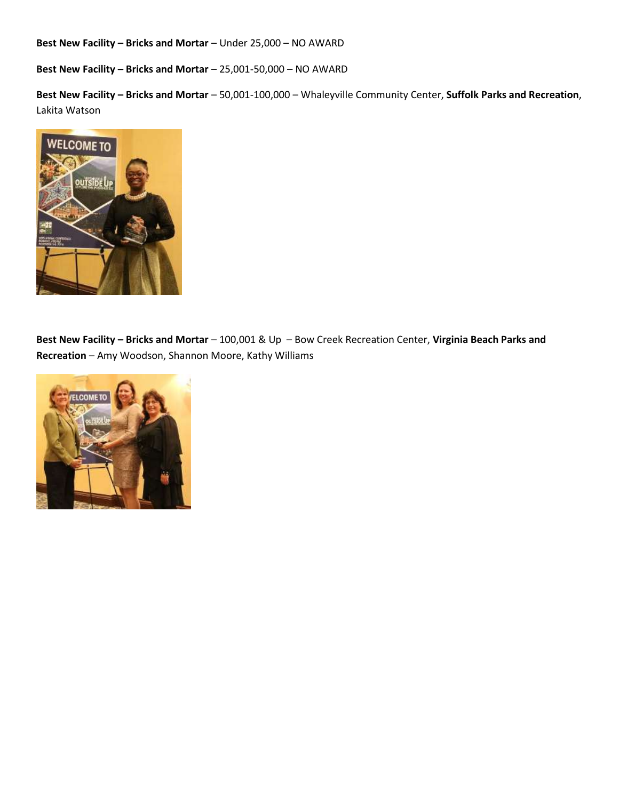**Best New Facility – Bricks and Mortar – Under 25,000 – NO AWARD** 

**Best New Facility – Bricks and Mortar** – 25,001-50,000 – NO AWARD

**Best New Facility – Bricks and Mortar** – 50,001-100,000 – Whaleyville Community Center, **Suffolk Parks and Recreation**, Lakita Watson



**Best New Facility – Bricks and Mortar** – 100,001 & Up – Bow Creek Recreation Center, **Virginia Beach Parks and Recreation** – Amy Woodson, Shannon Moore, Kathy Williams

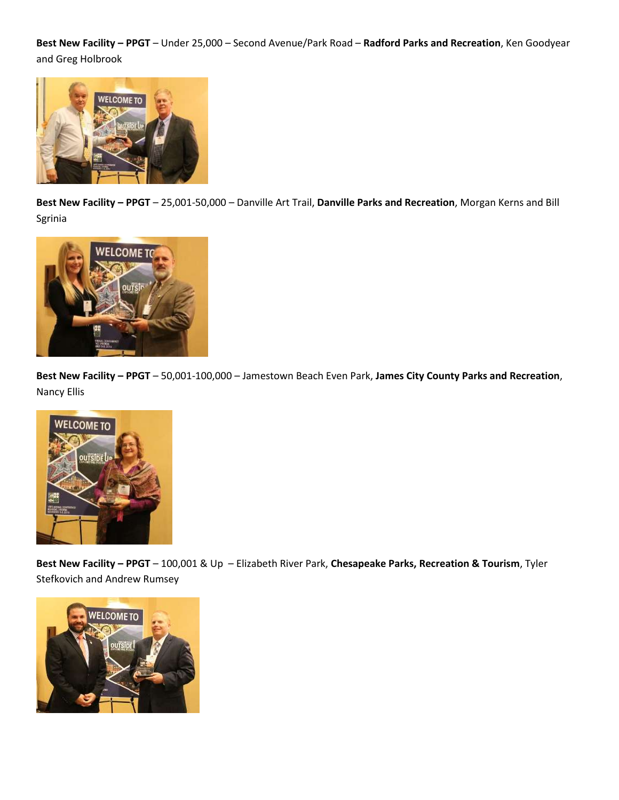**Best New Facility – PPGT** – Under 25,000 – Second Avenue/Park Road – **Radford Parks and Recreation**, Ken Goodyear and Greg Holbrook



**Best New Facility – PPGT** – 25,001-50,000 – Danville Art Trail, **Danville Parks and Recreation**, Morgan Kerns and Bill Sgrinia



**Best New Facility – PPGT** – 50,001-100,000 – Jamestown Beach Even Park, **James City County Parks and Recreation**, Nancy Ellis



**Best New Facility – PPGT** – 100,001 & Up – Elizabeth River Park, **Chesapeake Parks, Recreation & Tourism**, Tyler Stefkovich and Andrew Rumsey

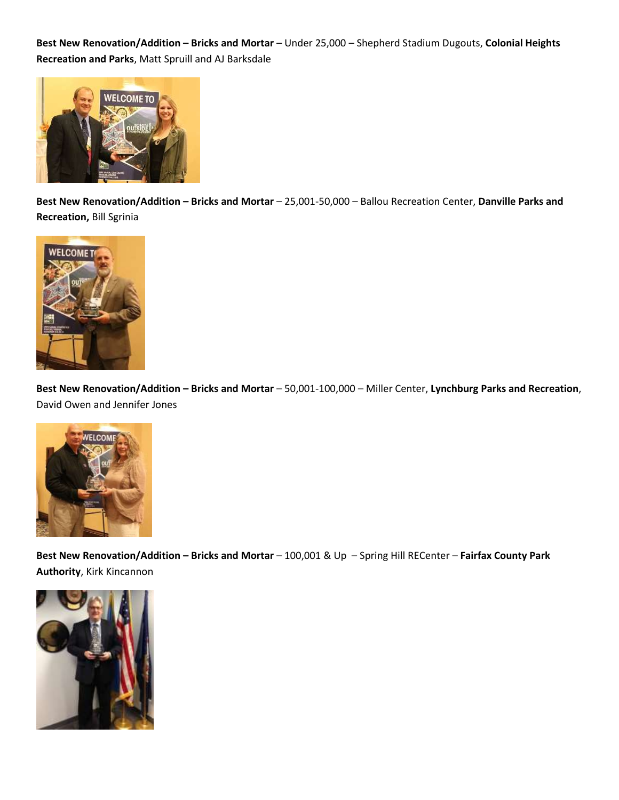**Best New Renovation/Addition – Bricks and Mortar** – Under 25,000 – Shepherd Stadium Dugouts, **Colonial Heights Recreation and Parks**, Matt Spruill and AJ Barksdale



**Best New Renovation/Addition – Bricks and Mortar** – 25,001-50,000 – Ballou Recreation Center, **Danville Parks and Recreation,** Bill Sgrinia



**Best New Renovation/Addition – Bricks and Mortar** – 50,001-100,000 – Miller Center, **Lynchburg Parks and Recreation**, David Owen and Jennifer Jones



**Best New Renovation/Addition – Bricks and Mortar** – 100,001 & Up – Spring Hill RECenter – **Fairfax County Park Authority**, Kirk Kincannon

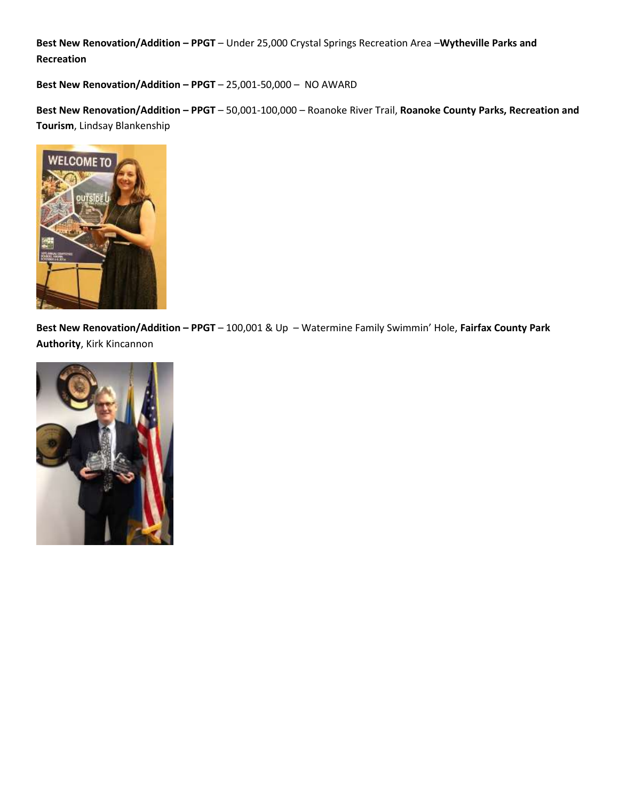**Best New Renovation/Addition – PPGT** – Under 25,000 Crystal Springs Recreation Area –**Wytheville Parks and Recreation**

**Best New Renovation/Addition – PPGT** – 25,001-50,000 – NO AWARD

**Best New Renovation/Addition – PPGT** – 50,001-100,000 – Roanoke River Trail, **Roanoke County Parks, Recreation and Tourism**, Lindsay Blankenship



**Best New Renovation/Addition – PPGT** – 100,001 & Up – Watermine Family Swimmin' Hole, **Fairfax County Park Authority**, Kirk Kincannon

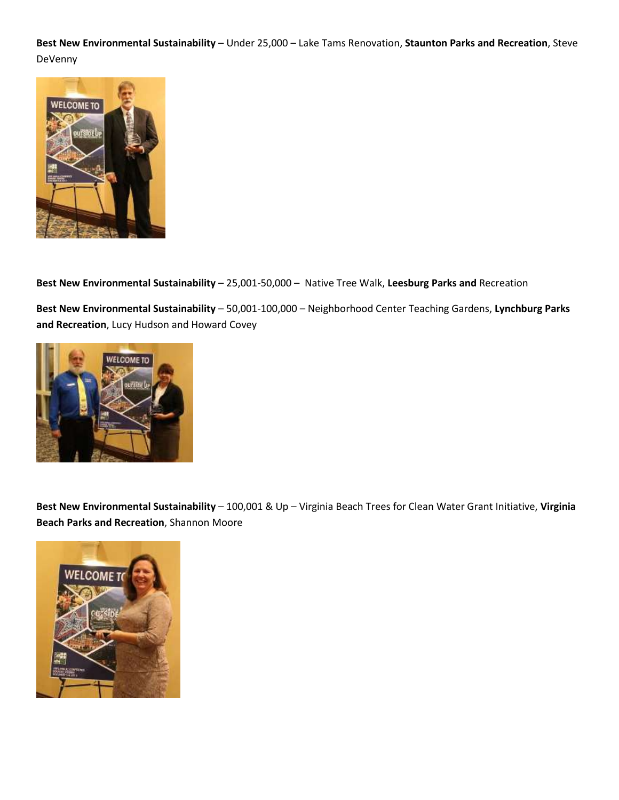**Best New Environmental Sustainability** – Under 25,000 – Lake Tams Renovation, **Staunton Parks and Recreation**, Steve DeVenny



**Best New Environmental Sustainability** – 25,001-50,000 – Native Tree Walk, **Leesburg Parks and** Recreation

**Best New Environmental Sustainability** – 50,001-100,000 – Neighborhood Center Teaching Gardens, **Lynchburg Parks and Recreation**, Lucy Hudson and Howard Covey



**Best New Environmental Sustainability** – 100,001 & Up – Virginia Beach Trees for Clean Water Grant Initiative, **Virginia Beach Parks and Recreation**, Shannon Moore

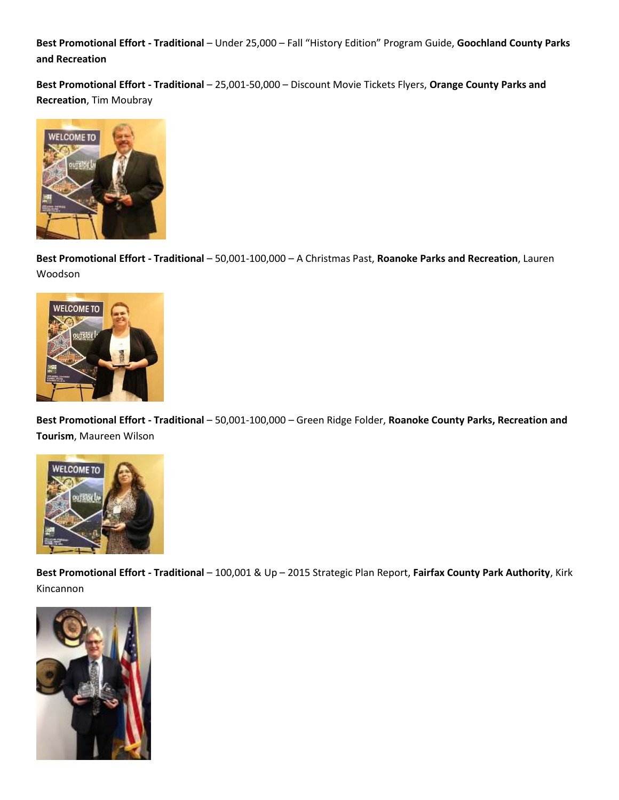**Best Promotional Effort - Traditional** – Under 25,000 – Fall "History Edition" Program Guide, **Goochland County Parks and Recreation**

**Best Promotional Effort - Traditional** – 25,001-50,000 – Discount Movie Tickets Flyers, **Orange County Parks and Recreation**, Tim Moubray



**Best Promotional Effort - Traditional** – 50,001-100,000 – A Christmas Past, **Roanoke Parks and Recreation**, Lauren Woodson



**Best Promotional Effort - Traditional** – 50,001-100,000 – Green Ridge Folder, **Roanoke County Parks, Recreation and Tourism**, Maureen Wilson



**Best Promotional Effort - Traditional** – 100,001 & Up – 2015 Strategic Plan Report, **Fairfax County Park Authority**, Kirk Kincannon